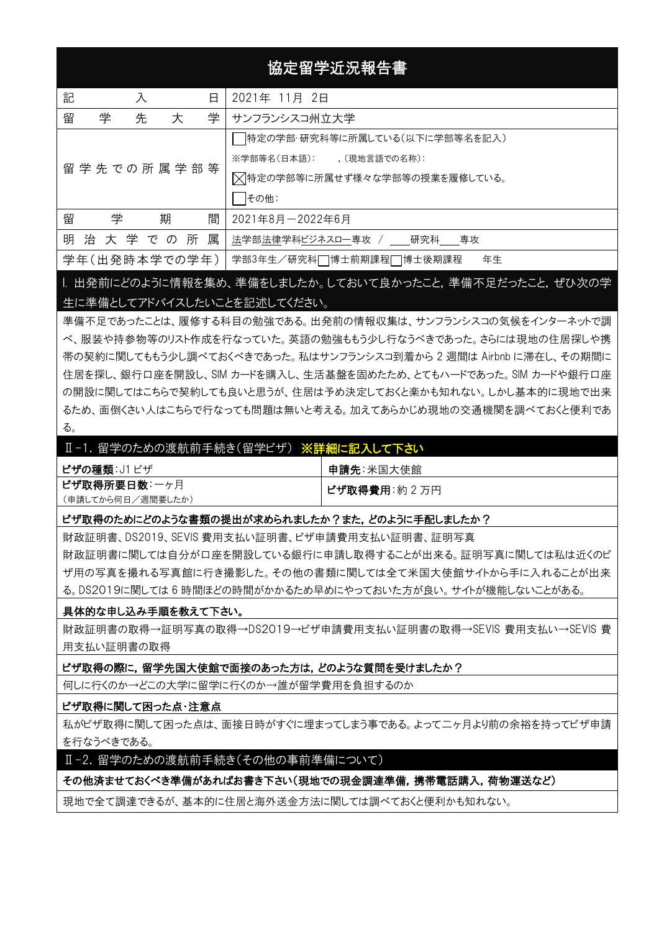# 協定留学近況報告書

| 記 | 日<br>入             |  |               | 2021年 11月 2日 |                               |  |  |
|---|--------------------|--|---------------|--------------|-------------------------------|--|--|
| 留 | 先<br>学<br>学<br>大   |  |               |              | サンフランシスコ州立大学                  |  |  |
|   |                    |  |               |              | 特定の学部・研究科等に所属している(以下に学部等名を記入) |  |  |
|   |                    |  |               |              | ※学部等名(日本語): (現地言語での名称):       |  |  |
|   | 留 学 先 での 所 属 学 部 等 |  |               |              | 又特定の学部等に所属せず様々な学部等の授業を履修している。 |  |  |
|   |                    |  |               |              | その他:                          |  |  |
| 留 | 学                  |  | 期             | 間            | 2021年8月-2022年6月               |  |  |
|   |                    |  | 明治大学での所       | 属            | 法学部法律学科ビジネスロー専攻 / _ 研究科 専攻    |  |  |
|   |                    |  | 学年(出発時本学での学年) |              | 学部3年生/研究科□博士前期課程□博士後期課程<br>年生 |  |  |

I. 出発前にどのように情報を集め、準備をしましたか。しておいて良かったこと,準備不足だったこと,ぜひ次の学 生に準備としてアドバイスしたいことを記述してください。

準備不足であったことは、履修する科目の勉強である。出発前の情報収集は、サンフランシスコの気候をインターネットで調 べ、服装や持参物等のリスト作成を行なっていた。英語の勉強ももう少し行なうべきであった。さらには現地の住居探しや携 帯の契約に関してももう少し調べておくべきであった。私はサンフランシスコ到着から 2 週間は Airbnb に滞在し、その期間に 住居を探し、銀行口座を開設し、SIM カードを購入し、生活基盤を固めたため、とてもハードであった。SIM カードや銀行口座 の開設に関してはこちらで契約しても良いと思うが、住居は予め決定しておくと楽かも知れない。しかし基本的に現地で出来 るため、面倒くさい人はこちらで行なっても問題は無いと考える。加えてあらかじめ現地の交通機関を調べておくと便利であ る。

# Ⅱ-1. 留学のための渡航前手続き(留学ビザ) ※詳細に記入して下さい

| <b>ビザの種類</b> : J1 ビザ | 申請先:米国大使館     |  |  |
|----------------------|---------------|--|--|
| ビザ取得所要日数: 一ヶ月        | ╹ ビザ取得費用:約2万円 |  |  |
| (申請してから何日/週間要したか)    |               |  |  |

#### ビザ取得のためにどのような書類の提出が求められましたか?また, どのように手配しましたか?

財政証明書、DS2019、SEVIS 費用支払い証明書、ビザ申請費用支払い証明書、証明写真 財政証明書に関しては自分が口座を開設している銀行に申請し取得することが出来る。証明写真に関しては私は近くのビ ザ用の写真を撮れる写真館に行き撮影した。その他の書類に関しては全て米国大使館サイトから手に入れることが出来 る。DS2019に関しては 6 時間ほどの時間がかかるため早めにやっておいた方が良い。サイトが機能しないことがある。

### 具体的な申し込み手順を教えて下さい。

財政証明書の取得→証明写真の取得→DS2019→ビザ申請費用支払い証明書の取得→SEVIS 費用支払い→SEVIS 費 用支払い証明書の取得

#### ビザ取得の際に,留学先国大使館で面接のあった方は,どのような質問を受けましたか?

何しに行くのか→どこの大学に留学に行くのか→誰が留学費用を負担するのか

#### ビザ取得に関して困った点・注意点

私がビザ取得に関して困った点は、面接日時がすぐに埋まってしまう事である。よって二ヶ月より前の余裕を持ってビザ申請 を行なうべきである。

### Ⅱ-2. 留学のための渡航前手続き(その他の事前準備について)

### その他済ませておくべき準備があればお書き下さい(現地での現金調達準備,携帯電話購入,荷物運送など)

現地で全て調達できるが、基本的に住居と海外送金方法に関しては調べておくと便利かも知れない。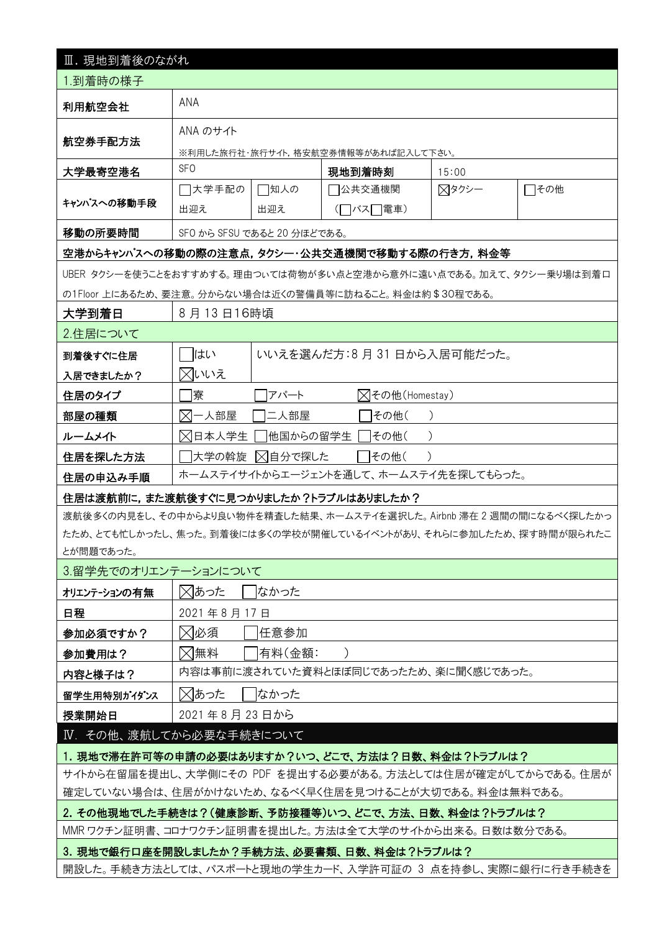| Ⅲ. 現地到着後のながれ                                                                                                       |                                       |          |                                                                       |       |      |  |  |  |
|--------------------------------------------------------------------------------------------------------------------|---------------------------------------|----------|-----------------------------------------------------------------------|-------|------|--|--|--|
| 1.到着時の様子                                                                                                           |                                       |          |                                                                       |       |      |  |  |  |
| 利用航空会社                                                                                                             | ANA                                   |          |                                                                       |       |      |  |  |  |
|                                                                                                                    | ANA のサイト                              |          |                                                                       |       |      |  |  |  |
| 航空券手配方法                                                                                                            | ※利用した旅行社・旅行サイト,格安航空券情報等があれば記入して下さい。   |          |                                                                       |       |      |  |  |  |
| 大学最寄空港名                                                                                                            | <b>SFO</b>                            |          | 現地到着時刻                                                                | 15:00 |      |  |  |  |
|                                                                                                                    | □大学手配の                                | □知人の     | 7公共交通機関                                                               | ⊠タクシー | □その他 |  |  |  |
| キャンパスへの移動手段                                                                                                        | 出迎え                                   | 出迎え      | (□バス□電車)                                                              |       |      |  |  |  |
| 移動の所要時間                                                                                                            | SFO から SFSU であると 20 分ほどである。           |          |                                                                       |       |      |  |  |  |
|                                                                                                                    |                                       |          | 空港からキャンパスへの移動の際の注意点,タクシー・公共交通機関で移動する際の行き方,料金等                         |       |      |  |  |  |
|                                                                                                                    |                                       |          | UBER タクシーを使うことをおすすめする。理由つぃては荷物が多い点と空港から意外に遠い点である。加えて、タクシー乗り場は到着口      |       |      |  |  |  |
|                                                                                                                    |                                       |          | の1Floor 上にあるため、要注意。分からない場合は近くの警備員等に訪ねること。料金は約\$30程である。                |       |      |  |  |  |
| 大学到着日                                                                                                              | 8月13日16時頃                             |          |                                                                       |       |      |  |  |  |
| 2.住居について                                                                                                           |                                       |          |                                                                       |       |      |  |  |  |
| 到着後すぐに住居                                                                                                           | はい                                    |          | いいえを選んだ方:8月31日から入居可能だった。                                              |       |      |  |  |  |
| 入居できましたか?                                                                                                          | ⊠いいえ                                  |          |                                                                       |       |      |  |  |  |
| 住居のタイプ                                                                                                             | 寮<br><b>⊠その他(Homestay)</b><br>アパート    |          |                                                                       |       |      |  |  |  |
| 部屋の種類                                                                                                              | ⊠一人部屋<br> 二人部屋<br> その他(               |          |                                                                       |       |      |  |  |  |
| ルームメイト                                                                                                             | ⊠日本人学生                                | 他国からの留学生 | その他(                                                                  |       |      |  |  |  |
| 住居を探した方法                                                                                                           | ⊠自分で探した<br> 大学の斡旋<br>その他(             |          |                                                                       |       |      |  |  |  |
| 住居の申込み手順                                                                                                           |                                       |          | ホームステイサイトからエージェントを通して、ホームステイ先を探してもらった。                                |       |      |  |  |  |
| 住居は渡航前に,また渡航後すぐに見つかりましたか?トラブルはありましたか?                                                                              |                                       |          |                                                                       |       |      |  |  |  |
|                                                                                                                    |                                       |          | 渡航後多くの内見をし、その中からより良い物件を精査した結果、ホームステイを選択した。 Airbnb 滞在 2 週間の間になるべく探したかっ |       |      |  |  |  |
|                                                                                                                    |                                       |          | たため、とても忙しかったし、焦った。到着後には多くの学校が開催しているイベントがあり、それらに参加したため、探す時間が限られたこ      |       |      |  |  |  |
| とが問題であった。                                                                                                          |                                       |          |                                                                       |       |      |  |  |  |
| 3.留学先でのオリエンテーションについて                                                                                               |                                       |          |                                                                       |       |      |  |  |  |
| オリエンテーションの有無                                                                                                       | ⊠あった                                  | はかった     |                                                                       |       |      |  |  |  |
| 日程                                                                                                                 | 2021年8月17日                            |          |                                                                       |       |      |  |  |  |
| 参加必須ですか?                                                                                                           | ⊠必須                                   | 任意参加     |                                                                       |       |      |  |  |  |
| 参加費用は?                                                                                                             | ⊠無料                                   | 有料(金額:   |                                                                       |       |      |  |  |  |
| 内容と様子は?                                                                                                            | 内容は事前に渡されていた資料とほぼ同じであったため、楽に聞く感じであった。 |          |                                                                       |       |      |  |  |  |
| 留学生用特別がイダンス                                                                                                        | ⊠あった<br>はかった                          |          |                                                                       |       |      |  |  |  |
|                                                                                                                    | 2021年8月23日から<br>授業開始日                 |          |                                                                       |       |      |  |  |  |
| IV. その他、渡航してから必要な手続きについて                                                                                           |                                       |          |                                                                       |       |      |  |  |  |
| 1. 現地で滞在許可等の申請の必要はありますか?いつ、どこで、方法は?日数、料金は?トラブルは?                                                                   |                                       |          |                                                                       |       |      |  |  |  |
| サイトから在留届を提出し、大学側にその PDF を提出する必要がある。方法としては住居が確定がしてからである。住居が<br>確定していない場合は、住居がかけないため、なるべく早く住居を見つけることが大切である。料金は無料である。 |                                       |          |                                                                       |       |      |  |  |  |
| 2. その他現地でした手続きは?(健康診断、予防接種等)いつ、どこで、方法、日数、料金は?トラブルは?                                                                |                                       |          |                                                                       |       |      |  |  |  |
|                                                                                                                    |                                       |          | MMR ワクチン証明書、コロナワクチン証明書を提出した。方法は全て大学のサイトから出来る。 日数は数分である。               |       |      |  |  |  |
|                                                                                                                    |                                       |          | 3. 現地で銀行口座を開設しましたか?手続方法、必要書類、日数、料金は?トラブルは?                            |       |      |  |  |  |
| 開設した。手続き方法としては、パスポートと現地の学生カード、入学許可証の 3 点を持参し、実際に銀行に行き手続きを                                                          |                                       |          |                                                                       |       |      |  |  |  |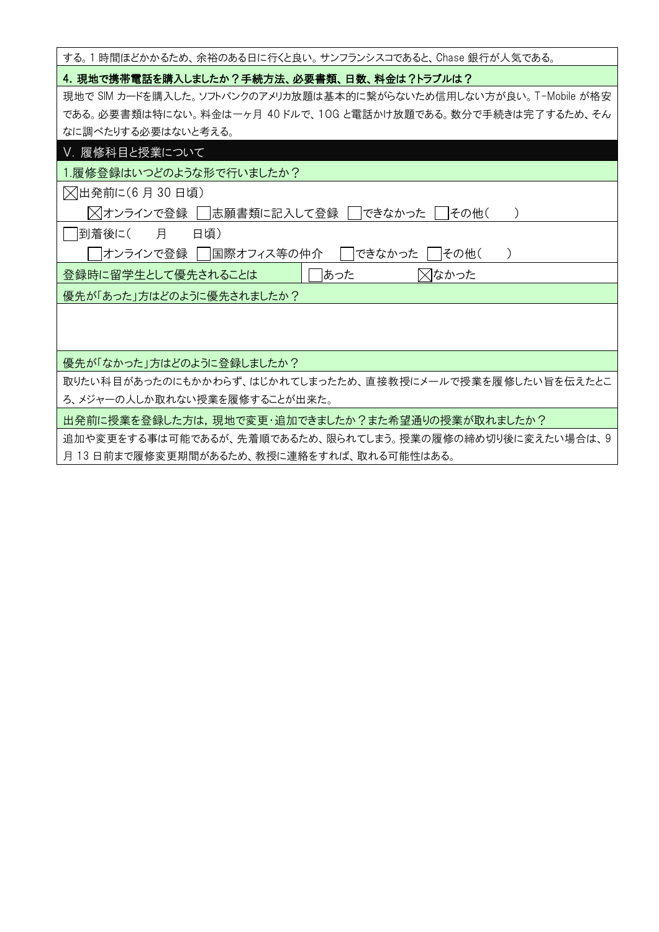| する。1 時間ほどかかるため、余裕のある日に行くと良い。 サンフランシスコであると、 Chase 銀行が人気である。        |
|-------------------------------------------------------------------|
| 4. 現地で携帯電話を購入しましたか?手続方法、必要書類、日数、料金は?トラブルは?                        |
| 現地で SIM カードを購入した。ソフトバンクのアメリカ放題は基本的に繋がらないため信用しない方が良い。 T-Mobile が格安 |
| である。必要書類は特にない。料金は一ヶ月 40 ドルで、10G と電話かけ放題である。数分で手続きは完了するため、そん       |
| なに調べたりする必要はないと考える。                                                |
| V. 履修科目と授業について                                                    |
| 1.履修登録はいつどのような形で行いましたか?                                           |
| △出発前に(6月30日頃)                                                     |
| ╳ オンラインで登録     志願書類に記入して登録    <br>できなかった   その他(                   |
| 月<br> 到着後に(<br>日頃)                                                |
| オンラインで登録  <br> 国際オフィス等の仲介 <br>できなかった<br>   その他(<br>$\mathcal{C}$  |
| ⊠なかった<br>登録時に留学生として優先されることは<br>あった                                |
| 優先が「あった」方はどのように優先されましたか?                                          |
|                                                                   |
|                                                                   |
| 優先が「なかった」方はどのように登録しましたか?                                          |
| 取りたい科目があったのにもかかわらず、はじかれてしまったため、直接教授にメールで授業を履修したい旨を伝えたとこ           |
| ろ、メジャーの人しか取れない授業を履修することが出来た。                                      |
| 出発前に授業を登録した方は,現地で変更・追加できましたか?また希望通りの授業が取れましたか?                    |
| 追加や変更をする事は可能であるが、先着順であるため、限られてしまう。授業の履修の締め切り後に変えたい場合は、9           |
| 月 13 日前まで履修変更期間があるため、教授に連絡をすれば、取れる可能性はある。                         |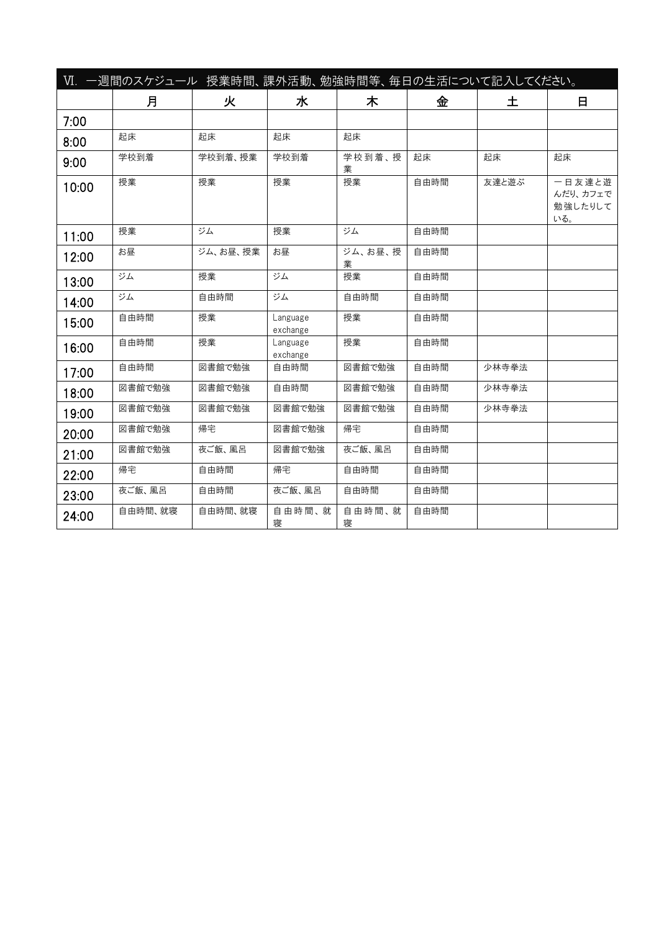|       | Ⅵ. 一週間のスケジュール 授業時間、課外活動、勉強時間等、毎日の生活について記入してください。 |          |                      |              |      |       |                                      |
|-------|--------------------------------------------------|----------|----------------------|--------------|------|-------|--------------------------------------|
|       | 月                                                | 火        | 水                    | 木            | 金    | 土     | 日                                    |
| 7:00  |                                                  |          |                      |              |      |       |                                      |
| 8:00  | 起床                                               | 起床       | 起床                   | 起床           |      |       |                                      |
| 9:00  | 学校到着                                             | 学校到着、授業  | 学校到着                 | 学校到着、授<br>業  | 起床   | 起床    | 起床                                   |
| 10:00 | 授業                                               | 授業       | 授業                   | 授業           | 自由時間 | 友達と遊ぶ | 一日友達と遊<br>んだり、カフェで<br>勉強したりして<br>いる。 |
| 11:00 | 授業                                               | ジム       | 授業                   | ジム           | 自由時間 |       |                                      |
| 12:00 | お昼                                               | ジム、お昼、授業 | お昼                   | ジム、お昼、授<br>業 | 自由時間 |       |                                      |
| 13:00 | ジム                                               | 授業       | ジム                   | 授業           | 自由時間 |       |                                      |
| 14:00 | ジム                                               | 自由時間     | ジム                   | 自由時間         | 自由時間 |       |                                      |
| 15:00 | 自由時間                                             | 授業       | Language<br>exchange | 授業           | 自由時間 |       |                                      |
| 16:00 | 自由時間                                             | 授業       | Language<br>exchange | 授業           | 自由時間 |       |                                      |
| 17:00 | 自由時間                                             | 図書館で勉強   | 自由時間                 | 図書館で勉強       | 自由時間 | 少林寺拳法 |                                      |
| 18:00 | 図書館で勉強                                           | 図書館で勉強   | 自由時間                 | 図書館で勉強       | 自由時間 | 少林寺拳法 |                                      |
| 19:00 | 図書館で勉強                                           | 図書館で勉強   | 図書館で勉強               | 図書館で勉強       | 自由時間 | 少林寺拳法 |                                      |
| 20:00 | 図書館で勉強                                           | 帰宅       | 図書館で勉強               | 帰宅           | 自由時間 |       |                                      |
| 21:00 | 図書館で勉強                                           | 夜ご飯、風呂   | 図書館で勉強               | 夜ご飯、風呂       | 自由時間 |       |                                      |
| 22:00 | 帰宅                                               | 自由時間     | 帰宅                   | 自由時間         | 自由時間 |       |                                      |
| 23:00 | 夜ご飯、風呂                                           | 自由時間     | 夜ご飯、風呂               | 自由時間         | 自由時間 |       |                                      |
| 24:00 | 自由時間、就寝                                          | 自由時間、就寝  | 自由時間、就<br>寝          | 自由時間、就<br>寝  | 自由時間 |       |                                      |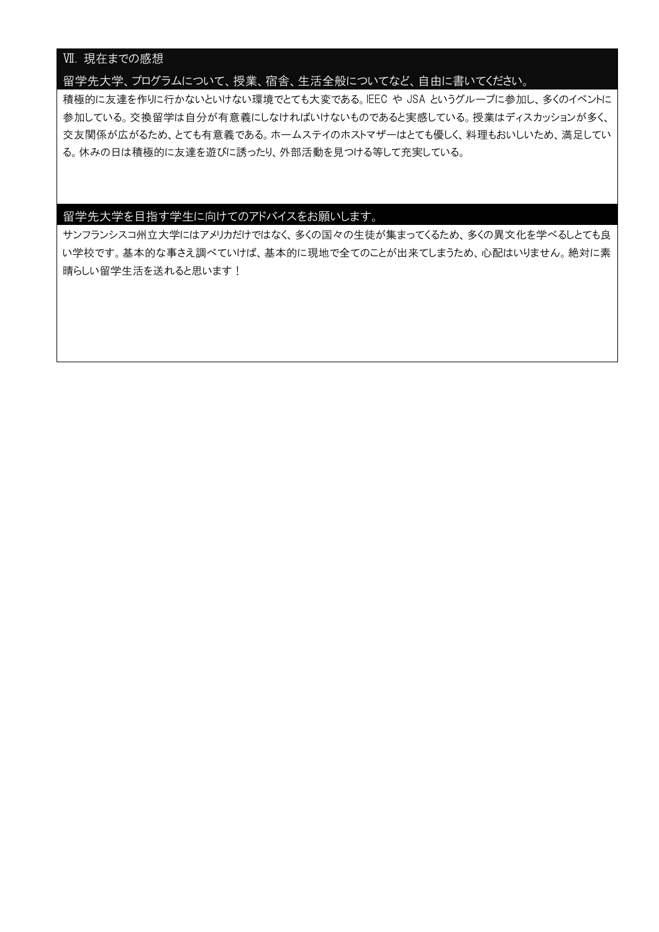## Ⅶ. 現在までの感想

### 留学先大学、プログラムについて、授業、宿舎、生活全般についてなど、自由に書いてください。

積極的に友達を作りに行かないといけない環境でとても大変である。IEEC や JSA というグループに参加し、多くのイベントに 参加している。交換留学は自分が有意義にしなければいけないものであると実感している。授業はディスカッションが多く、 交友関係が広がるため、とても有意義である。ホームステイのホストマザーはとても優しく、料理もおいしいため、満足してい る。休みの日は積極的に友達を遊びに誘ったり、外部活動を見つける等して充実している。

## 留学先大学を目指す学生に向けてのアドバイスをお願いします。

サンフランシスコ州立大学にはアメリカだけではなく、多くの国々の生徒が集まってくるため、多くの異文化を学べるしとても良 い学校です。基本的な事さえ調べていけば、基本的に現地で全てのことが出来てしまうため、心配はいりません。絶対に素 晴らしい留学生活を送れると思います!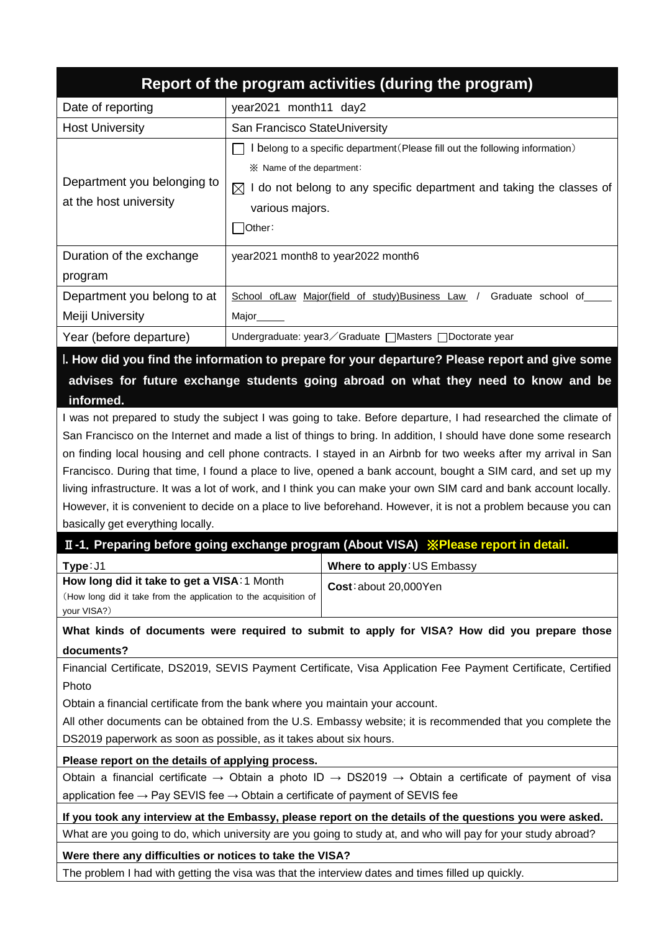| Report of the program activities (during the program)                                                                                                                                                                                                                                                                                                                                       |                                                                                                                                                                                                                                                                                                                                                                                                                                                                                                                                                                                                                                                                                                              |  |  |  |  |  |  |  |
|---------------------------------------------------------------------------------------------------------------------------------------------------------------------------------------------------------------------------------------------------------------------------------------------------------------------------------------------------------------------------------------------|--------------------------------------------------------------------------------------------------------------------------------------------------------------------------------------------------------------------------------------------------------------------------------------------------------------------------------------------------------------------------------------------------------------------------------------------------------------------------------------------------------------------------------------------------------------------------------------------------------------------------------------------------------------------------------------------------------------|--|--|--|--|--|--|--|
| Date of reporting                                                                                                                                                                                                                                                                                                                                                                           | year2021 month11 day2                                                                                                                                                                                                                                                                                                                                                                                                                                                                                                                                                                                                                                                                                        |  |  |  |  |  |  |  |
| <b>Host University</b>                                                                                                                                                                                                                                                                                                                                                                      | San Francisco StateUniversity                                                                                                                                                                                                                                                                                                                                                                                                                                                                                                                                                                                                                                                                                |  |  |  |  |  |  |  |
| Department you belonging to<br>at the host university                                                                                                                                                                                                                                                                                                                                       | I belong to a specific department (Please fill out the following information)<br>※ Name of the department:<br>$\boxtimes$ I do not belong to any specific department and taking the classes of<br>various majors.<br>Other:                                                                                                                                                                                                                                                                                                                                                                                                                                                                                  |  |  |  |  |  |  |  |
| Duration of the exchange<br>program                                                                                                                                                                                                                                                                                                                                                         | year2021 month8 to year2022 month6                                                                                                                                                                                                                                                                                                                                                                                                                                                                                                                                                                                                                                                                           |  |  |  |  |  |  |  |
| Department you belong to at<br>Meiji University                                                                                                                                                                                                                                                                                                                                             | School of Law Major(field of study) Business Law /<br>Graduate school of<br>Major                                                                                                                                                                                                                                                                                                                                                                                                                                                                                                                                                                                                                            |  |  |  |  |  |  |  |
| Year (before departure)                                                                                                                                                                                                                                                                                                                                                                     | Undergraduate: year3 / Graduate   Masters   Doctorate year                                                                                                                                                                                                                                                                                                                                                                                                                                                                                                                                                                                                                                                   |  |  |  |  |  |  |  |
| informed.                                                                                                                                                                                                                                                                                                                                                                                   | I. How did you find the information to prepare for your departure? Please report and give some<br>advises for future exchange students going abroad on what they need to know and be                                                                                                                                                                                                                                                                                                                                                                                                                                                                                                                         |  |  |  |  |  |  |  |
| basically get everything locally.                                                                                                                                                                                                                                                                                                                                                           | I was not prepared to study the subject I was going to take. Before departure, I had researched the climate of<br>San Francisco on the Internet and made a list of things to bring. In addition, I should have done some research<br>on finding local housing and cell phone contracts. I stayed in an Airbnb for two weeks after my arrival in San<br>Francisco. During that time, I found a place to live, opened a bank account, bought a SIM card, and set up my<br>living infrastructure. It was a lot of work, and I think you can make your own SIM card and bank account locally.<br>However, it is convenient to decide on a place to live beforehand. However, it is not a problem because you can |  |  |  |  |  |  |  |
|                                                                                                                                                                                                                                                                                                                                                                                             | II-1. Preparing before going exchange program (About VISA) XPlease report in detail.                                                                                                                                                                                                                                                                                                                                                                                                                                                                                                                                                                                                                         |  |  |  |  |  |  |  |
| Where to apply: US Embassy<br>Type: J1<br>How long did it take to get a VISA: 1 Month<br>Cost: about 20,000Yen<br>(How long did it take from the application to the acquisition of<br>your VISA?)                                                                                                                                                                                           |                                                                                                                                                                                                                                                                                                                                                                                                                                                                                                                                                                                                                                                                                                              |  |  |  |  |  |  |  |
| documents?                                                                                                                                                                                                                                                                                                                                                                                  | What kinds of documents were required to submit to apply for VISA? How did you prepare those                                                                                                                                                                                                                                                                                                                                                                                                                                                                                                                                                                                                                 |  |  |  |  |  |  |  |
| Financial Certificate, DS2019, SEVIS Payment Certificate, Visa Application Fee Payment Certificate, Certified<br>Photo<br>Obtain a financial certificate from the bank where you maintain your account.<br>All other documents can be obtained from the U.S. Embassy website; it is recommended that you complete the<br>DS2019 paperwork as soon as possible, as it takes about six hours. |                                                                                                                                                                                                                                                                                                                                                                                                                                                                                                                                                                                                                                                                                                              |  |  |  |  |  |  |  |
| Please report on the details of applying process.                                                                                                                                                                                                                                                                                                                                           |                                                                                                                                                                                                                                                                                                                                                                                                                                                                                                                                                                                                                                                                                                              |  |  |  |  |  |  |  |
| Obtain a financial certificate $\rightarrow$ Obtain a photo ID $\rightarrow$ DS2019 $\rightarrow$ Obtain a certificate of payment of visa<br>application fee $\rightarrow$ Pay SEVIS fee $\rightarrow$ Obtain a certificate of payment of SEVIS fee                                                                                                                                         |                                                                                                                                                                                                                                                                                                                                                                                                                                                                                                                                                                                                                                                                                                              |  |  |  |  |  |  |  |
| If you took any interview at the Embassy, please report on the details of the questions you were asked.                                                                                                                                                                                                                                                                                     |                                                                                                                                                                                                                                                                                                                                                                                                                                                                                                                                                                                                                                                                                                              |  |  |  |  |  |  |  |
|                                                                                                                                                                                                                                                                                                                                                                                             | What are you going to do, which university are you going to study at, and who will pay for your study abroad?                                                                                                                                                                                                                                                                                                                                                                                                                                                                                                                                                                                                |  |  |  |  |  |  |  |
| Were there any difficulties or notices to take the VISA?                                                                                                                                                                                                                                                                                                                                    |                                                                                                                                                                                                                                                                                                                                                                                                                                                                                                                                                                                                                                                                                                              |  |  |  |  |  |  |  |
| The problem I had with getting the visa was that the interview dates and times filled up quickly.                                                                                                                                                                                                                                                                                           |                                                                                                                                                                                                                                                                                                                                                                                                                                                                                                                                                                                                                                                                                                              |  |  |  |  |  |  |  |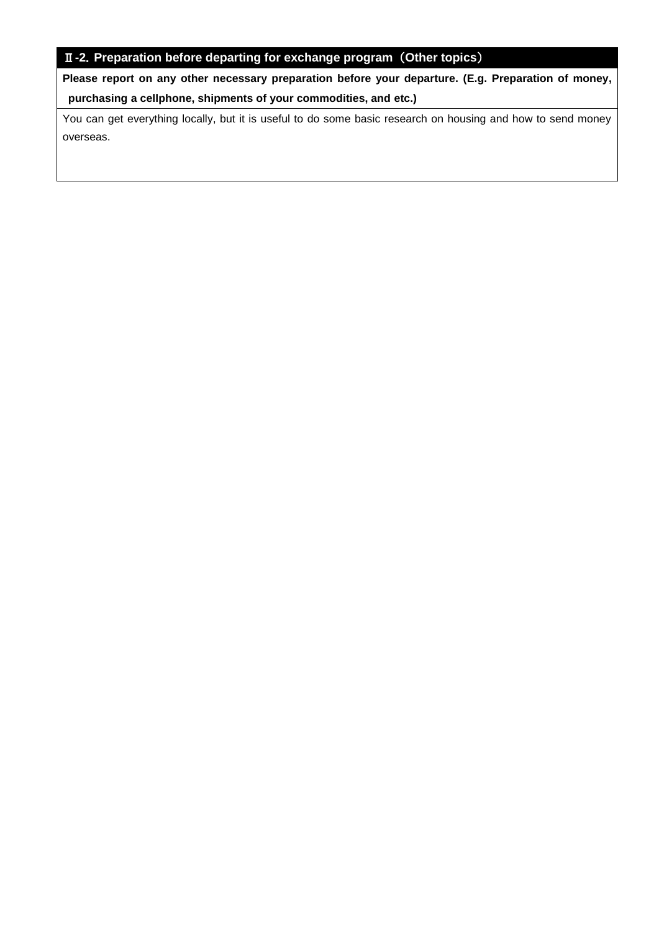# Ⅱ**-2**.**Preparation before departing for exchange program** (**Other topics**)

**Please report on any other necessary preparation before your departure. (E.g. Preparation of money, purchasing a cellphone, shipments of your commodities, and etc.)** 

You can get everything locally, but it is useful to do some basic research on housing and how to send money overseas.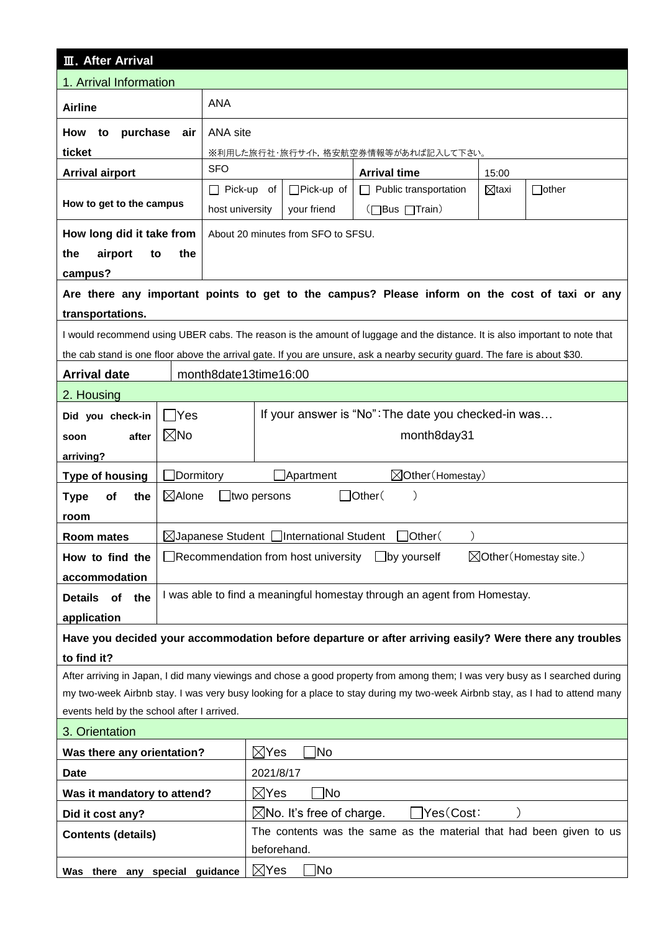| <b>III.</b> After Arrival                                                                                                    |                                                                                                                              |                                      |  |  |  |  |  |  |
|------------------------------------------------------------------------------------------------------------------------------|------------------------------------------------------------------------------------------------------------------------------|--------------------------------------|--|--|--|--|--|--|
| 1. Arrival Information                                                                                                       |                                                                                                                              |                                      |  |  |  |  |  |  |
| <b>Airline</b>                                                                                                               | <b>ANA</b>                                                                                                                   |                                      |  |  |  |  |  |  |
| purchase<br>How<br>to<br>air                                                                                                 | ANA site                                                                                                                     |                                      |  |  |  |  |  |  |
| ticket                                                                                                                       | ※利用した旅行社・旅行サイト,格安航空券情報等があれば記入して下さい。                                                                                          |                                      |  |  |  |  |  |  |
| <b>Arrival airport</b>                                                                                                       | <b>SFO</b><br><b>Arrival time</b><br>15:00                                                                                   |                                      |  |  |  |  |  |  |
|                                                                                                                              | □Pick-up of<br>$\Box$ other<br>$\Box$ Pick-up of<br>Public transportation<br>$\boxtimes$ taxi<br>$\mathsf{L}$                |                                      |  |  |  |  |  |  |
| How to get to the campus                                                                                                     | (□Bus □Train)<br>host university<br>your friend                                                                              |                                      |  |  |  |  |  |  |
| How long did it take from                                                                                                    | About 20 minutes from SFO to SFSU.                                                                                           |                                      |  |  |  |  |  |  |
| the<br>airport<br>the<br>to                                                                                                  |                                                                                                                              |                                      |  |  |  |  |  |  |
| campus?                                                                                                                      |                                                                                                                              |                                      |  |  |  |  |  |  |
|                                                                                                                              | Are there any important points to get to the campus? Please inform on the cost of taxi or any                                |                                      |  |  |  |  |  |  |
| transportations.                                                                                                             |                                                                                                                              |                                      |  |  |  |  |  |  |
|                                                                                                                              | I would recommend using UBER cabs. The reason is the amount of luggage and the distance. It is also important to note that   |                                      |  |  |  |  |  |  |
|                                                                                                                              | the cab stand is one floor above the arrival gate. If you are unsure, ask a nearby security guard. The fare is about \$30.   |                                      |  |  |  |  |  |  |
| <b>Arrival date</b>                                                                                                          | month8date13time16:00                                                                                                        |                                      |  |  |  |  |  |  |
| 2. Housing                                                                                                                   |                                                                                                                              |                                      |  |  |  |  |  |  |
| $\Box$ Yes<br>Did you check-in                                                                                               | If your answer is "No": The date you checked-in was                                                                          |                                      |  |  |  |  |  |  |
| $\boxtimes$ No<br>after<br>soon                                                                                              | month8day31                                                                                                                  |                                      |  |  |  |  |  |  |
| arriving?                                                                                                                    |                                                                                                                              |                                      |  |  |  |  |  |  |
| $\Box$ Dormitory<br><b>Type of housing</b>                                                                                   | $\boxtimes$ Other (Homestay)<br>Apartment                                                                                    |                                      |  |  |  |  |  |  |
| $\boxtimes$ Alone<br>of<br>the<br><b>Type</b>                                                                                | $\Box$ Other(<br>$ul$ two persons                                                                                            |                                      |  |  |  |  |  |  |
| room                                                                                                                         |                                                                                                                              |                                      |  |  |  |  |  |  |
| Room mates                                                                                                                   | $\boxtimes$ Japanese Student $\Box$ International Student<br>]Other(<br>$\mathcal{C}$                                        |                                      |  |  |  |  |  |  |
| How to find the                                                                                                              | $\boxtimes$ Other (Homestay site.)<br>$\Box$ by yourself<br>$\Box$ Recommendation from host university                       |                                      |  |  |  |  |  |  |
| accommodation                                                                                                                |                                                                                                                              |                                      |  |  |  |  |  |  |
| Details of<br>the                                                                                                            | I was able to find a meaningful homestay through an agent from Homestay.                                                     |                                      |  |  |  |  |  |  |
| application                                                                                                                  |                                                                                                                              |                                      |  |  |  |  |  |  |
|                                                                                                                              | Have you decided your accommodation before departure or after arriving easily? Were there any troubles                       |                                      |  |  |  |  |  |  |
| to find it?                                                                                                                  |                                                                                                                              |                                      |  |  |  |  |  |  |
|                                                                                                                              | After arriving in Japan, I did many viewings and chose a good property from among them; I was very busy as I searched during |                                      |  |  |  |  |  |  |
| my two-week Airbnb stay. I was very busy looking for a place to stay during my two-week Airbnb stay, as I had to attend many |                                                                                                                              |                                      |  |  |  |  |  |  |
| events held by the school after I arrived.                                                                                   |                                                                                                                              |                                      |  |  |  |  |  |  |
| 3. Orientation                                                                                                               |                                                                                                                              |                                      |  |  |  |  |  |  |
| Was there any orientation?                                                                                                   |                                                                                                                              | Mo]<br>$\boxtimes$ Yes               |  |  |  |  |  |  |
| <b>Date</b>                                                                                                                  |                                                                                                                              | 2021/8/17                            |  |  |  |  |  |  |
| Was it mandatory to attend?                                                                                                  | Yes(Cost:                                                                                                                    | $\boxtimes$ Yes<br>≹Nο               |  |  |  |  |  |  |
| Did it cost any?                                                                                                             | The contents was the same as the material that had been given to us                                                          | $\boxtimes$ No. It's free of charge. |  |  |  |  |  |  |
| <b>Contents (details)</b>                                                                                                    | beforehand.                                                                                                                  |                                      |  |  |  |  |  |  |
|                                                                                                                              |                                                                                                                              | $\boxtimes$ Yes<br>JNo               |  |  |  |  |  |  |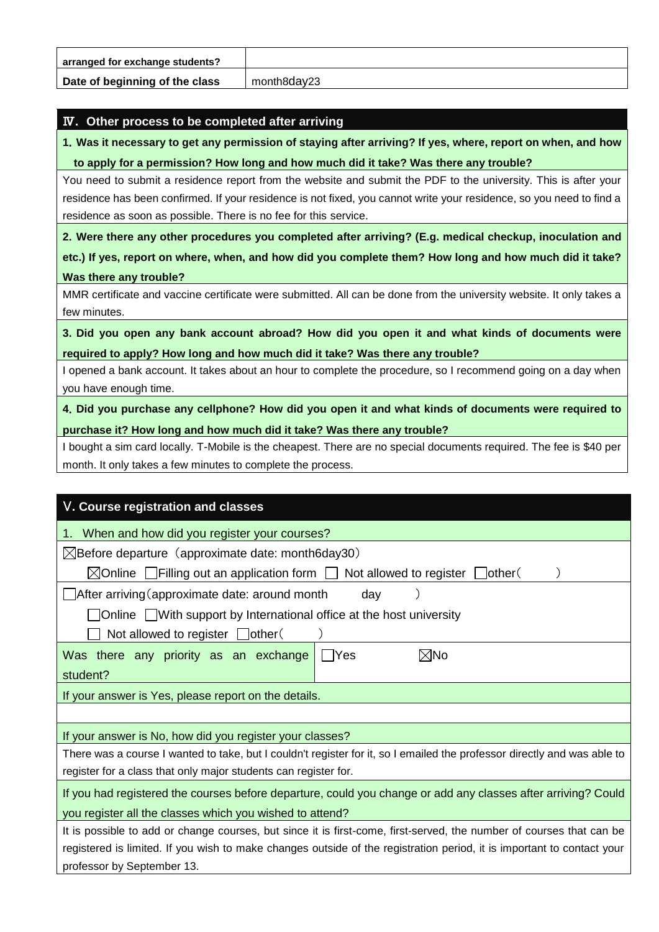| arranged for exchange students? |             |
|---------------------------------|-------------|
| Date of beginning of the class  | month8dav23 |

### Ⅳ**. Other process to be completed after arriving**

**1**.**Was it necessary to get any permission of staying after arriving? If yes, where, report on when, and how to apply for a permission? How long and how much did it take? Was there any trouble?**

You need to submit a residence report from the website and submit the PDF to the university. This is after your residence has been confirmed. If your residence is not fixed, you cannot write your residence, so you need to find a residence as soon as possible. There is no fee for this service.

**2**.**Were there any other procedures you completed after arriving? (E.g. medical checkup, inoculation and etc.) If yes, report on where, when, and how did you complete them? How long and how much did it take? Was there any trouble?**

MMR certificate and vaccine certificate were submitted. All can be done from the university website. It only takes a few minutes.

**3**.**Did you open any bank account abroad? How did you open it and what kinds of documents were required to apply? How long and how much did it take? Was there any trouble?**

I opened a bank account. It takes about an hour to complete the procedure, so I recommend going on a day when you have enough time.

**4**.**Did you purchase any cellphone? How did you open it and what kinds of documents were required to purchase it? How long and how much did it take? Was there any trouble?**

I bought a sim card locally. T-Mobile is the cheapest. There are no special documents required. The fee is \$40 per month. It only takes a few minutes to complete the process.

| V. Course registration and classes                                                                                       |  |  |  |  |  |  |
|--------------------------------------------------------------------------------------------------------------------------|--|--|--|--|--|--|
| When and how did you register your courses?                                                                              |  |  |  |  |  |  |
| $\boxtimes$ Before departure (approximate date: month6day30)                                                             |  |  |  |  |  |  |
| $\boxtimes$ Online $\Box$ Filling out an application form $\Box$ Not allowed to register [<br>  lother(                  |  |  |  |  |  |  |
| After arriving (approximate date: around month<br>day                                                                    |  |  |  |  |  |  |
| $\Box$ Online $\Box$ With support by International office at the host university                                         |  |  |  |  |  |  |
| Not allowed to register $\Box$ other (                                                                                   |  |  |  |  |  |  |
| $\boxtimes$ No<br>Was there any priority as an exchange<br>l lYes                                                        |  |  |  |  |  |  |
| student?                                                                                                                 |  |  |  |  |  |  |
| If your answer is Yes, please report on the details.                                                                     |  |  |  |  |  |  |
|                                                                                                                          |  |  |  |  |  |  |
| If your answer is No, how did you register your classes?                                                                 |  |  |  |  |  |  |
| There was a course I wanted to take, but I couldn't register for it, so I emailed the professor directly and was able to |  |  |  |  |  |  |
| register for a class that only major students can register for.                                                          |  |  |  |  |  |  |
| If you had registered the courses before departure, could you change or add any classes after arriving? Could            |  |  |  |  |  |  |
| you register all the classes which you wished to attend?                                                                 |  |  |  |  |  |  |
| It is possible to add or change courses, but since it is first-come, first-served, the number of courses that can be     |  |  |  |  |  |  |
| registered is limited. If you wish to make changes outside of the registration period, it is important to contact your   |  |  |  |  |  |  |
| professor by September 13.                                                                                               |  |  |  |  |  |  |